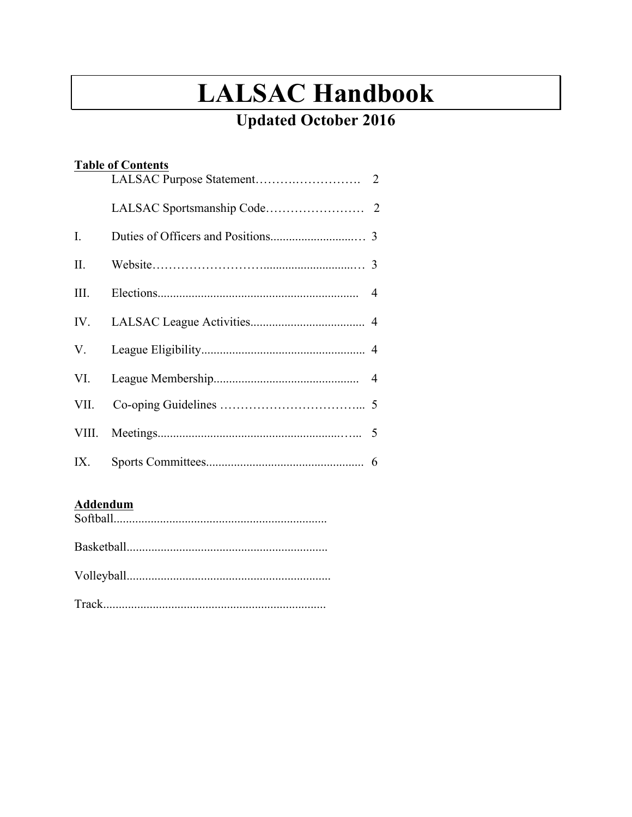# **LALSAC Handbook**

# **Updated October 2016**

| <b>Table of Contents</b> |  |  |  |  |  |
|--------------------------|--|--|--|--|--|
|                          |  |  |  |  |  |
|                          |  |  |  |  |  |
| $\mathbf{I}$ .           |  |  |  |  |  |
| II.                      |  |  |  |  |  |
| III.                     |  |  |  |  |  |
| IV.                      |  |  |  |  |  |
| V.                       |  |  |  |  |  |
| VI.                      |  |  |  |  |  |
| VII.                     |  |  |  |  |  |
| VIII.                    |  |  |  |  |  |
| IX.                      |  |  |  |  |  |

## **Addendum**

Softball..................................................................... Basketball................................................................. Volleyball..................................................................

Track........................................................................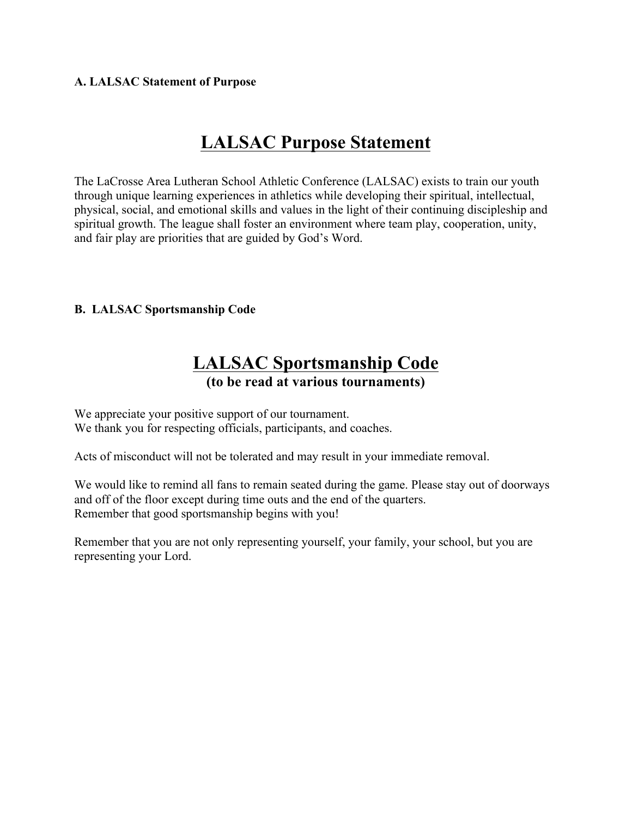#### **A. LALSAC Statement of Purpose**

# **LALSAC Purpose Statement**

The LaCrosse Area Lutheran School Athletic Conference (LALSAC) exists to train our youth through unique learning experiences in athletics while developing their spiritual, intellectual, physical, social, and emotional skills and values in the light of their continuing discipleship and spiritual growth. The league shall foster an environment where team play, cooperation, unity, and fair play are priorities that are guided by God's Word.

#### **B. LALSAC Sportsmanship Code**

# **LALSAC Sportsmanship Code (to be read at various tournaments)**

We appreciate your positive support of our tournament. We thank you for respecting officials, participants, and coaches.

Acts of misconduct will not be tolerated and may result in your immediate removal.

We would like to remind all fans to remain seated during the game. Please stay out of doorways and off of the floor except during time outs and the end of the quarters. Remember that good sportsmanship begins with you!

Remember that you are not only representing yourself, your family, your school, but you are representing your Lord.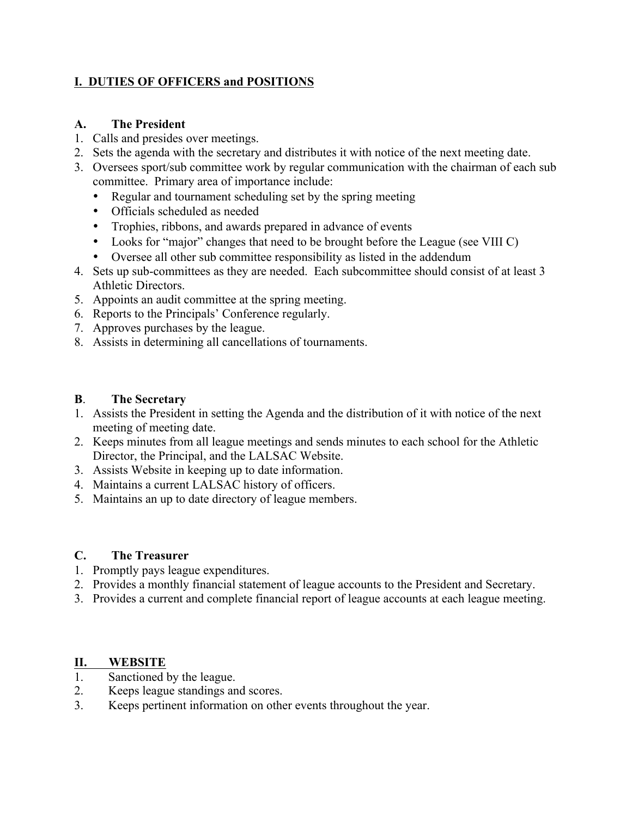### **I. DUTIES OF OFFICERS and POSITIONS**

#### **A. The President**

- 1. Calls and presides over meetings.
- 2. Sets the agenda with the secretary and distributes it with notice of the next meeting date.
- 3. Oversees sport/sub committee work by regular communication with the chairman of each sub committee. Primary area of importance include:
	- Regular and tournament scheduling set by the spring meeting
	- Officials scheduled as needed
	- Trophies, ribbons, and awards prepared in advance of events
	- Looks for "major" changes that need to be brought before the League (see VIII C)
	- Oversee all other sub committee responsibility as listed in the addendum
- 4. Sets up sub-committees as they are needed. Each subcommittee should consist of at least 3 Athletic Directors.
- 5. Appoints an audit committee at the spring meeting.
- 6. Reports to the Principals' Conference regularly.
- 7. Approves purchases by the league.
- 8. Assists in determining all cancellations of tournaments.

#### **B**. **The Secretary**

- 1. Assists the President in setting the Agenda and the distribution of it with notice of the next meeting of meeting date.
- 2. Keeps minutes from all league meetings and sends minutes to each school for the Athletic Director, the Principal, and the LALSAC Website.
- 3. Assists Website in keeping up to date information.
- 4. Maintains a current LALSAC history of officers.
- 5. Maintains an up to date directory of league members.

#### **C. The Treasurer**

- 1. Promptly pays league expenditures.
- 2. Provides a monthly financial statement of league accounts to the President and Secretary.
- 3. Provides a current and complete financial report of league accounts at each league meeting.

### **II. WEBSITE**

- 1. Sanctioned by the league.
- 2. Keeps league standings and scores.
- 3. Keeps pertinent information on other events throughout the year.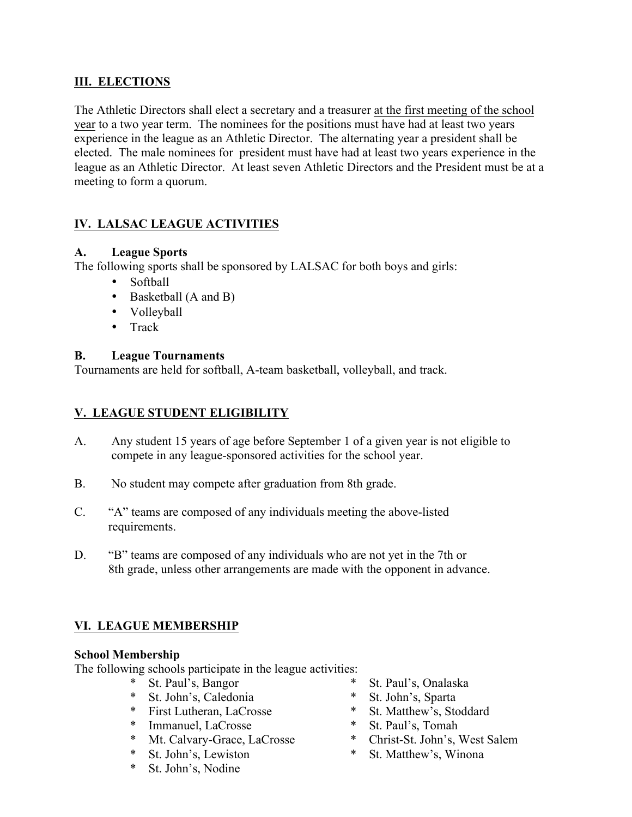#### **III. ELECTIONS**

The Athletic Directors shall elect a secretary and a treasurer at the first meeting of the school year to a two year term. The nominees for the positions must have had at least two years experience in the league as an Athletic Director. The alternating year a president shall be elected. The male nominees for president must have had at least two years experience in the league as an Athletic Director. At least seven Athletic Directors and the President must be at a meeting to form a quorum.

# **IV. LALSAC LEAGUE ACTIVITIES**

#### **A. League Sports**

The following sports shall be sponsored by LALSAC for both boys and girls:

- Softball
- Basketball (A and B)
- Volleyball
- Track

#### **B. League Tournaments**

Tournaments are held for softball, A-team basketball, volleyball, and track.

### **V. LEAGUE STUDENT ELIGIBILITY**

- A. Any student 15 years of age before September 1 of a given year is not eligible to compete in any league-sponsored activities for the school year.
- B. No student may compete after graduation from 8th grade.
- C. "A" teams are composed of any individuals meeting the above-listed requirements.
- D. "B" teams are composed of any individuals who are not yet in the 7th or 8th grade, unless other arrangements are made with the opponent in advance.

### **VI. LEAGUE MEMBERSHIP**

#### **School Membership**

The following schools participate in the league activities:

- \* St. Paul's, Bangor
- \* St. John's, Caledonia
- \* First Lutheran, LaCrosse
- \* Immanuel, LaCrosse
- \* Mt. Calvary-Grace, LaCrosse<br>\* St Iohn's Lewiston
- \* St. John's, Lewiston<br>\* St. John's Nodine
- St. John's, Nodine
- \* St. Paul's, Onalaska
- \* St. John's, Sparta
- \* St. Matthew's, Stoddard
- \* St. Paul's, Tomah
- \* Christ-St. John's, West Salem
- \* St. Matthew's, Winona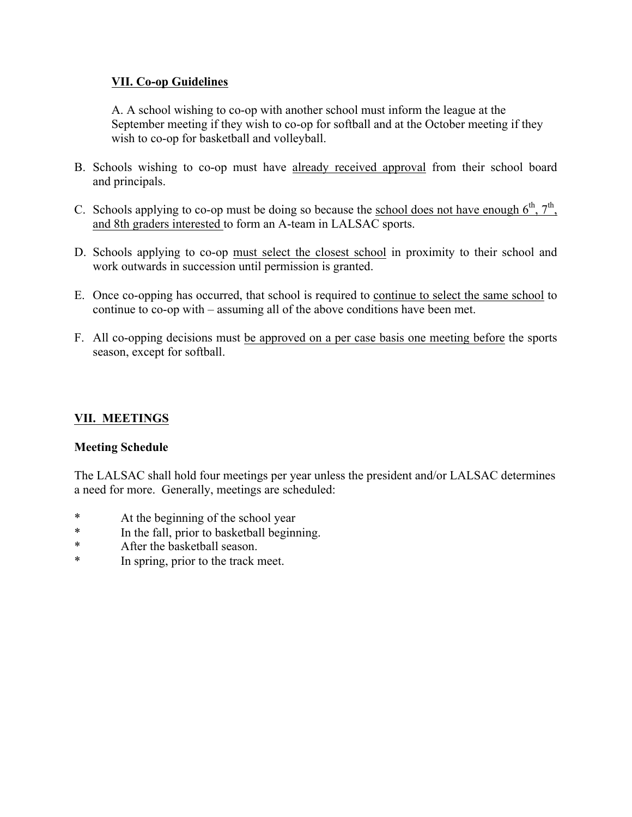#### **VII. Co-op Guidelines**

A. A school wishing to co-op with another school must inform the league at the September meeting if they wish to co-op for softball and at the October meeting if they wish to co-op for basketball and volleyball.

- B. Schools wishing to co-op must have already received approval from their school board and principals.
- C. Schools applying to co-op must be doing so because the school does not have enough  $6<sup>th</sup>$ ,  $7<sup>th</sup>$ , and 8th graders interested to form an A-team in LALSAC sports.
- D. Schools applying to co-op must select the closest school in proximity to their school and work outwards in succession until permission is granted.
- E. Once co-opping has occurred, that school is required to continue to select the same school to continue to co-op with – assuming all of the above conditions have been met.
- F. All co-opping decisions must be approved on a per case basis one meeting before the sports season, except for softball.

### **VII. MEETINGS**

#### **Meeting Schedule**

The LALSAC shall hold four meetings per year unless the president and/or LALSAC determines a need for more. Generally, meetings are scheduled:

- \* At the beginning of the school year
- \* In the fall, prior to basketball beginning.
- \* After the basketball season.
- \* In spring, prior to the track meet.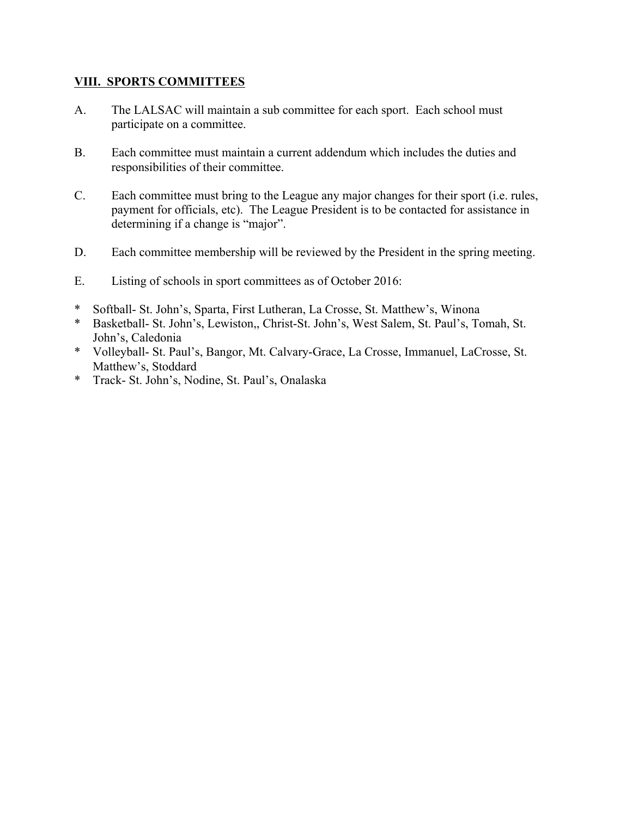#### **VIII. SPORTS COMMITTEES**

- A. The LALSAC will maintain a sub committee for each sport. Each school must participate on a committee.
- B. Each committee must maintain a current addendum which includes the duties and responsibilities of their committee.
- C. Each committee must bring to the League any major changes for their sport (i.e. rules, payment for officials, etc). The League President is to be contacted for assistance in determining if a change is "major".
- D. Each committee membership will be reviewed by the President in the spring meeting.
- E. Listing of schools in sport committees as of October 2016:
- \* Softball- St. John's, Sparta, First Lutheran, La Crosse, St. Matthew's, Winona
- \* Basketball- St. John's, Lewiston,, Christ-St. John's, West Salem, St. Paul's, Tomah, St. John's, Caledonia
- \* Volleyball- St. Paul's, Bangor, Mt. Calvary-Grace, La Crosse, Immanuel, LaCrosse, St. Matthew's, Stoddard
- \* Track- St. John's, Nodine, St. Paul's, Onalaska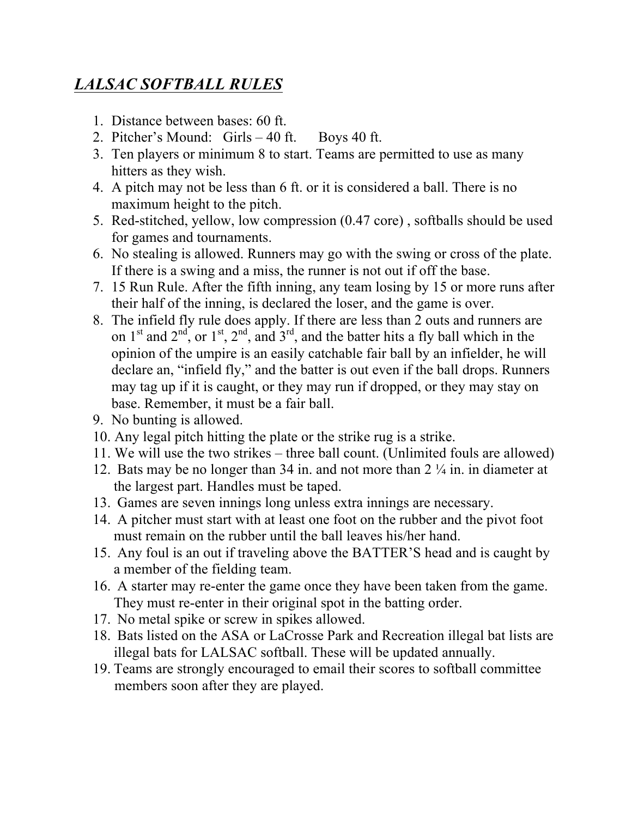# *LALSAC SOFTBALL RULES*

- 1. Distance between bases: 60 ft.
- 2. Pitcher's Mound: Girls 40 ft. Boys 40 ft.
- 3. Ten players or minimum 8 to start. Teams are permitted to use as many hitters as they wish.
- 4. A pitch may not be less than 6 ft. or it is considered a ball. There is no maximum height to the pitch.
- 5. Red-stitched, yellow, low compression (0.47 core) , softballs should be used for games and tournaments.
- 6. No stealing is allowed. Runners may go with the swing or cross of the plate. If there is a swing and a miss, the runner is not out if off the base.
- 7. 15 Run Rule. After the fifth inning, any team losing by 15 or more runs after their half of the inning, is declared the loser, and the game is over.
- 8. The infield fly rule does apply. If there are less than 2 outs and runners are on  $1<sup>st</sup>$  and  $2<sup>nd</sup>$ , or  $1<sup>st</sup>$ ,  $2<sup>nd</sup>$ , and  $3<sup>rd</sup>$ , and the batter hits a fly ball which in the opinion of the umpire is an easily catchable fair ball by an infielder, he will declare an, "infield fly," and the batter is out even if the ball drops. Runners may tag up if it is caught, or they may run if dropped, or they may stay on base. Remember, it must be a fair ball.
- 9. No bunting is allowed.
- 10. Any legal pitch hitting the plate or the strike rug is a strike.
- 11. We will use the two strikes three ball count. (Unlimited fouls are allowed)
- 12. Bats may be no longer than 34 in. and not more than 2 ¼ in. in diameter at the largest part. Handles must be taped.
- 13. Games are seven innings long unless extra innings are necessary.
- 14. A pitcher must start with at least one foot on the rubber and the pivot foot must remain on the rubber until the ball leaves his/her hand.
- 15. Any foul is an out if traveling above the BATTER'S head and is caught by a member of the fielding team.
- 16. A starter may re-enter the game once they have been taken from the game. They must re-enter in their original spot in the batting order.
- 17. No metal spike or screw in spikes allowed.
- 18. Bats listed on the ASA or LaCrosse Park and Recreation illegal bat lists are illegal bats for LALSAC softball. These will be updated annually.
- 19. Teams are strongly encouraged to email their scores to softball committee members soon after they are played.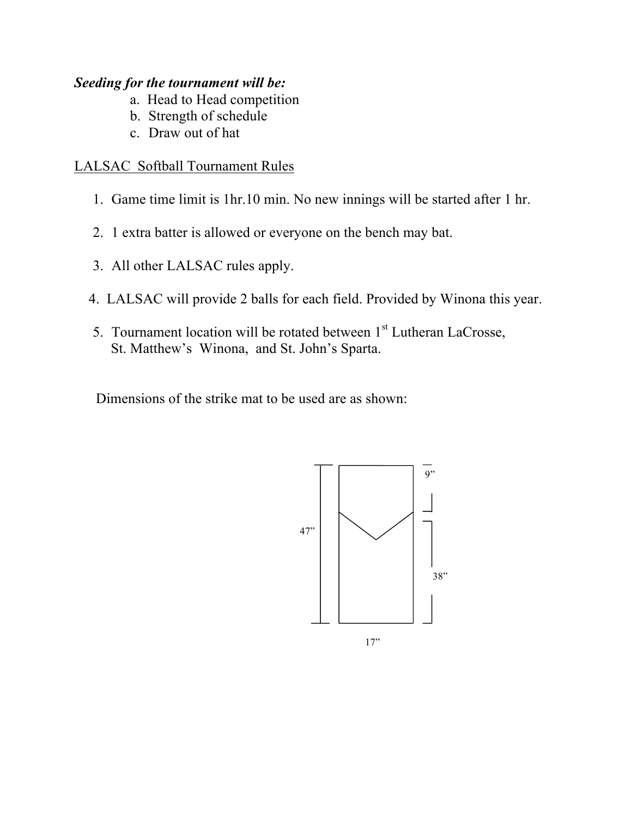# *Seeding for the tournament will be:*

- a. Head to Head competition
- b. Strength of schedule
- c. Draw out of hat

# LALSAC Softball Tournament Rules

- 1. Game time limit is 1hr.10 min. No new innings will be started after 1 hr.
- 2. 1 extra batter is allowed or everyone on the bench may bat.
- 3. All other LALSAC rules apply.
- 4. LALSAC will provide 2 balls for each field. Provided by Winona this year.
- 5. Tournament location will be rotated between  $1<sup>st</sup>$  Lutheran LaCrosse, St. Matthew's Winona, and St. John's Sparta.

Dimensions of the strike mat to be used are as shown:



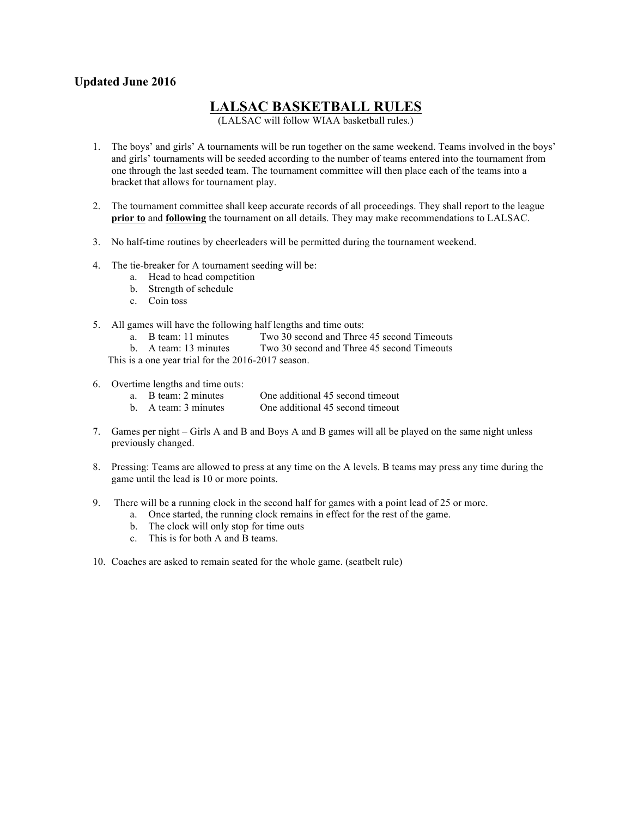#### **Updated June 2016**

# **LALSAC BASKETBALL RULES**

(LALSAC will follow WIAA basketball rules.)

- 1. The boys' and girls' A tournaments will be run together on the same weekend. Teams involved in the boys' and girls' tournaments will be seeded according to the number of teams entered into the tournament from one through the last seeded team. The tournament committee will then place each of the teams into a bracket that allows for tournament play.
- 2. The tournament committee shall keep accurate records of all proceedings. They shall report to the league **prior to** and **following** the tournament on all details. They may make recommendations to LALSAC.
- 3. No half-time routines by cheerleaders will be permitted during the tournament weekend.
- 4. The tie-breaker for A tournament seeding will be:
	- a. Head to head competition
	- b. Strength of schedule
	- c. Coin toss
- 5. All games will have the following half lengths and time outs:
	- a. B team: 11 minutes Two 30 second and Three 45 second Timeouts
	- b. A team: 13 minutes Two 30 second and Three 45 second Timeouts

This is a one year trial for the 2016-2017 season.

- 6. Overtime lengths and time outs:
	- a. B team: 2 minutes One additional 45 second timeout
	- b. A team: 3 minutes One additional 45 second timeout
- 7. Games per night Girls A and B and Boys A and B games will all be played on the same night unless previously changed.
- 8. Pressing: Teams are allowed to press at any time on the A levels. B teams may press any time during the game until the lead is 10 or more points.
- 9. There will be a running clock in the second half for games with a point lead of 25 or more.
	- a. Once started, the running clock remains in effect for the rest of the game.
	- b. The clock will only stop for time outs
	- c. This is for both A and B teams.
- 10. Coaches are asked to remain seated for the whole game. (seatbelt rule)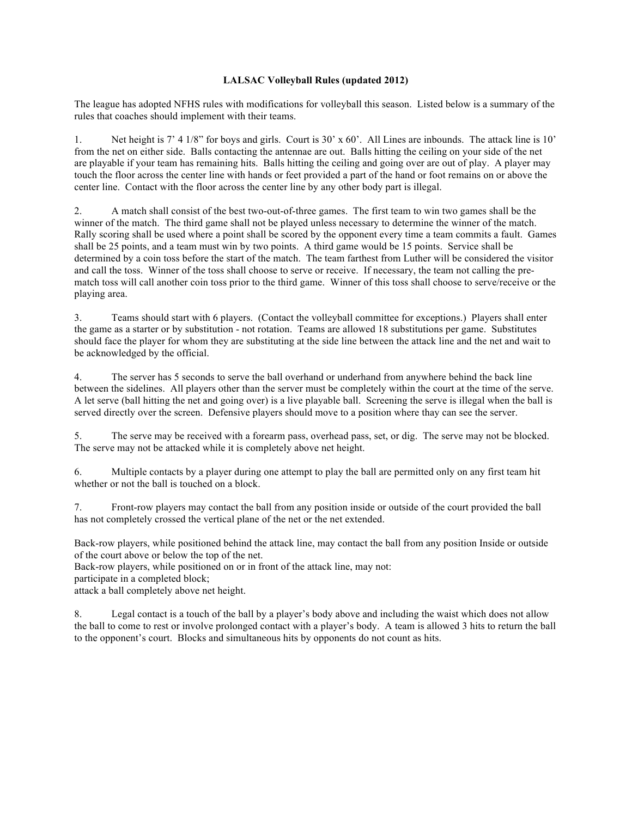#### **LALSAC Volleyball Rules (updated 2012)**

The league has adopted NFHS rules with modifications for volleyball this season. Listed below is a summary of the rules that coaches should implement with their teams.

1. Net height is 7' 4 1/8" for boys and girls. Court is 30' x 60'. All Lines are inbounds. The attack line is 10' from the net on either side. Balls contacting the antennae are out. Balls hitting the ceiling on your side of the net are playable if your team has remaining hits. Balls hitting the ceiling and going over are out of play. A player may touch the floor across the center line with hands or feet provided a part of the hand or foot remains on or above the center line. Contact with the floor across the center line by any other body part is illegal.

2. A match shall consist of the best two-out-of-three games. The first team to win two games shall be the winner of the match. The third game shall not be played unless necessary to determine the winner of the match. Rally scoring shall be used where a point shall be scored by the opponent every time a team commits a fault. Games shall be 25 points, and a team must win by two points. A third game would be 15 points. Service shall be determined by a coin toss before the start of the match. The team farthest from Luther will be considered the visitor and call the toss. Winner of the toss shall choose to serve or receive. If necessary, the team not calling the prematch toss will call another coin toss prior to the third game. Winner of this toss shall choose to serve/receive or the playing area.

3. Teams should start with 6 players. (Contact the volleyball committee for exceptions.) Players shall enter the game as a starter or by substitution - not rotation. Teams are allowed 18 substitutions per game. Substitutes should face the player for whom they are substituting at the side line between the attack line and the net and wait to be acknowledged by the official.

4. The server has 5 seconds to serve the ball overhand or underhand from anywhere behind the back line between the sidelines. All players other than the server must be completely within the court at the time of the serve. A let serve (ball hitting the net and going over) is a live playable ball. Screening the serve is illegal when the ball is served directly over the screen. Defensive players should move to a position where thay can see the server.

5. The serve may be received with a forearm pass, overhead pass, set, or dig. The serve may not be blocked. The serve may not be attacked while it is completely above net height.

6. Multiple contacts by a player during one attempt to play the ball are permitted only on any first team hit whether or not the ball is touched on a block.

7. Front-row players may contact the ball from any position inside or outside of the court provided the ball has not completely crossed the vertical plane of the net or the net extended.

Back-row players, while positioned behind the attack line, may contact the ball from any position Inside or outside of the court above or below the top of the net.

Back-row players, while positioned on or in front of the attack line, may not:

participate in a completed block;

attack a ball completely above net height.

8. Legal contact is a touch of the ball by a player's body above and including the waist which does not allow the ball to come to rest or involve prolonged contact with a player's body. A team is allowed 3 hits to return the ball to the opponent's court. Blocks and simultaneous hits by opponents do not count as hits.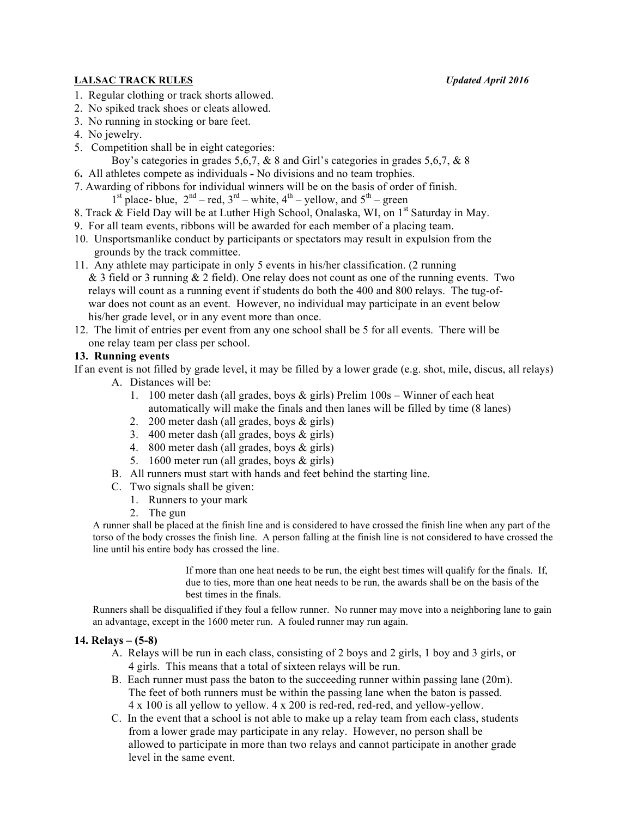#### **LALSAC TRACK RULES** *Updated April 2016*

- 1. Regular clothing or track shorts allowed.
- 2. No spiked track shoes or cleats allowed.
- 3. No running in stocking or bare feet.
- 4. No jewelry.
- 5. Competition shall be in eight categories:
	- Boy's categories in grades 5,6,7,  $\&$  8 and Girl's categories in grades 5,6,7,  $\&$  8
- 6**.** All athletes compete as individuals **-** No divisions and no team trophies.
- 7. Awarding of ribbons for individual winners will be on the basis of order of finish.
- <sup>1st</sup> place- blue,  $2<sup>nd</sup>$  red,  $3<sup>rd</sup>$  white,  $4<sup>th</sup>$  yellow, and  $5<sup>th</sup>$  green
- 8. Track & Field Day will be at Luther High School, Onalaska, WI, on 1<sup>st</sup> Saturday in May.
- 9. For all team events, ribbons will be awarded for each member of a placing team.
- 10. Unsportsmanlike conduct by participants or spectators may result in expulsion from the grounds by the track committee.
- 11. Any athlete may participate in only 5 events in his/her classification. (2 running  $&$  3 field or 3 running  $&$  2 field). One relay does not count as one of the running events. Two relays will count as a running event if students do both the 400 and 800 relays. The tug-of war does not count as an event. However, no individual may participate in an event below his/her grade level, or in any event more than once.
- 12. The limit of entries per event from any one school shall be 5 for all events. There will be one relay team per class per school.

#### **13. Running events**

If an event is not filled by grade level, it may be filled by a lower grade (e.g. shot, mile, discus, all relays)

- A. Distances will be:
	- 1. 100 meter dash (all grades, boys & girls) Prelim 100s Winner of each heat automatically will make the finals and then lanes will be filled by time (8 lanes)
	- 2. 200 meter dash (all grades, boys & girls)
	- 3. 400 meter dash (all grades, boys & girls)
	- 4. 800 meter dash (all grades, boys & girls)
	- 5. 1600 meter run (all grades, boys & girls)
- B. All runners must start with hands and feet behind the starting line.
- C. Two signals shall be given:
	- 1. Runners to your mark
	- 2. The gun

A runner shall be placed at the finish line and is considered to have crossed the finish line when any part of the torso of the body crosses the finish line. A person falling at the finish line is not considered to have crossed the line until his entire body has crossed the line.

> If more than one heat needs to be run, the eight best times will qualify for the finals. If, due to ties, more than one heat needs to be run, the awards shall be on the basis of the best times in the finals.

Runners shall be disqualified if they foul a fellow runner. No runner may move into a neighboring lane to gain an advantage, except in the 1600 meter run. A fouled runner may run again.

#### **14. Relays – (5-8)**

- A. Relays will be run in each class, consisting of 2 boys and 2 girls, 1 boy and 3 girls, or 4 girls. This means that a total of sixteen relays will be run.
- B. Each runner must pass the baton to the succeeding runner within passing lane (20m). The feet of both runners must be within the passing lane when the baton is passed. 4 x 100 is all yellow to yellow. 4 x 200 is red-red, red-red, and yellow-yellow.
- C. In the event that a school is not able to make up a relay team from each class, students from a lower grade may participate in any relay. However, no person shall be allowed to participate in more than two relays and cannot participate in another grade level in the same event.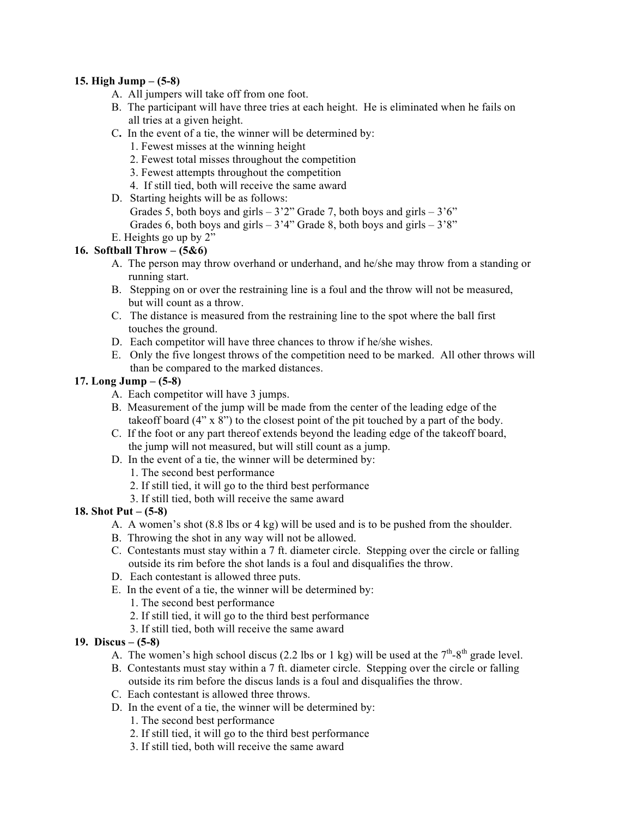#### **15. High Jump – (5-8)**

- A. All jumpers will take off from one foot.
- B. The participant will have three tries at each height. He is eliminated when he fails on all tries at a given height.
- C**.** In the event of a tie, the winner will be determined by:
	- 1. Fewest misses at the winning height
	- 2. Fewest total misses throughout the competition
	- 3. Fewest attempts throughout the competition
	- 4. If still tied, both will receive the same award
- D. Starting heights will be as follows: Grades 5, both boys and girls  $-3'2''$  Grade 7, both boys and girls  $-3'6''$ Grades 6, both boys and girls  $-3'4''$  Grade 8, both boys and girls  $-3'8''$
- E. Heights go up by 2"

#### **16. Softball Throw – (5&6)**

- A. The person may throw overhand or underhand, and he/she may throw from a standing or running start.
- B. Stepping on or over the restraining line is a foul and the throw will not be measured, but will count as a throw.
- C. The distance is measured from the restraining line to the spot where the ball first touches the ground.
- D. Each competitor will have three chances to throw if he/she wishes.
- E. Only the five longest throws of the competition need to be marked. All other throws will than be compared to the marked distances.

#### **17. Long Jump – (5-8)**

- A. Each competitor will have 3 jumps.
- B. Measurement of the jump will be made from the center of the leading edge of the takeoff board (4" x 8") to the closest point of the pit touched by a part of the body.
- C. If the foot or any part thereof extends beyond the leading edge of the takeoff board, the jump will not measured, but will still count as a jump.
- D. In the event of a tie, the winner will be determined by:
	- 1. The second best performance
	- 2. If still tied, it will go to the third best performance
	- 3. If still tied, both will receive the same award

#### **18. Shot Put – (5-8)**

- A. A women's shot (8.8 lbs or 4 kg) will be used and is to be pushed from the shoulder.
- B. Throwing the shot in any way will not be allowed.
- C. Contestants must stay within a 7 ft. diameter circle. Stepping over the circle or falling outside its rim before the shot lands is a foul and disqualifies the throw.
- D. Each contestant is allowed three puts.
- E. In the event of a tie, the winner will be determined by:
	- 1. The second best performance
	- 2. If still tied, it will go to the third best performance
	- 3. If still tied, both will receive the same award

#### **19. Discus – (5-8)**

- A. The women's high school discus (2.2 lbs or 1 kg) will be used at the  $7<sup>th</sup>$ -8<sup>th</sup> grade level.
- B. Contestants must stay within a 7 ft. diameter circle. Stepping over the circle or falling outside its rim before the discus lands is a foul and disqualifies the throw.
- C. Each contestant is allowed three throws.
- D. In the event of a tie, the winner will be determined by:
	- 1. The second best performance
	- 2. If still tied, it will go to the third best performance
	- 3. If still tied, both will receive the same award